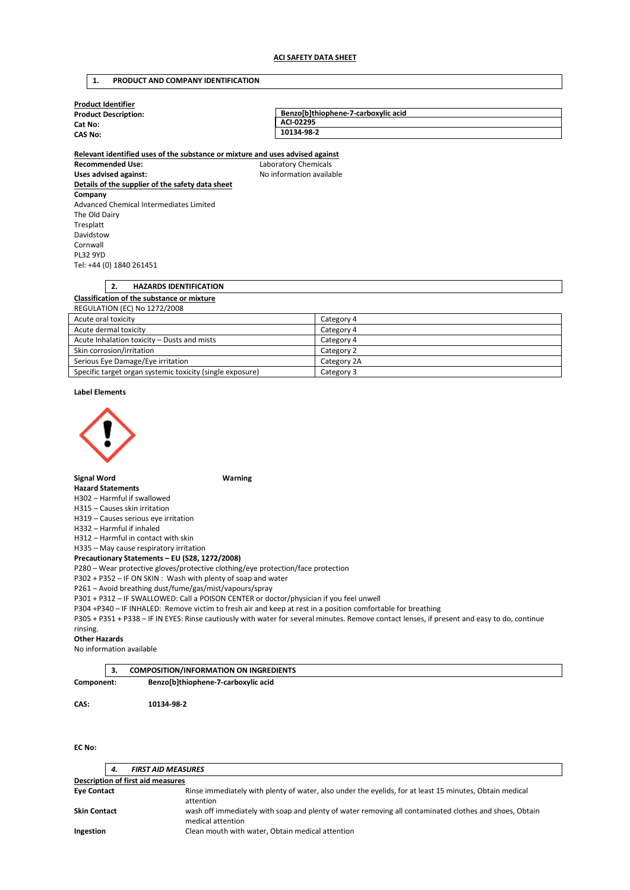# **1. PRODUCT AND COMPANY IDENTIFICATION**

| <b>Product Identifier</b>                                                     |                                     |  |  |  |  |
|-------------------------------------------------------------------------------|-------------------------------------|--|--|--|--|
| <b>Product Description:</b>                                                   | Benzo[b]thiophene-7-carboxylic acid |  |  |  |  |
| Cat No:                                                                       | ACI-02295                           |  |  |  |  |
| <b>CAS No:</b>                                                                | 10134-98-2                          |  |  |  |  |
| Relevant identified uses of the substance or mixture and uses advised against |                                     |  |  |  |  |
| <b>Recommended Use:</b>                                                       | Laboratory Chemicals                |  |  |  |  |
| Uses advised against:                                                         | No information available            |  |  |  |  |
| Details of the supplier of the safety data sheet                              |                                     |  |  |  |  |
| Company                                                                       |                                     |  |  |  |  |
| Advanced Chemical Intermediates Limited                                       |                                     |  |  |  |  |
| The Old Dairy                                                                 |                                     |  |  |  |  |
| Tresplatt                                                                     |                                     |  |  |  |  |
| Davidstow                                                                     |                                     |  |  |  |  |
| Cornwall                                                                      |                                     |  |  |  |  |
| <b>PL32 9YD</b>                                                               |                                     |  |  |  |  |
| Tel: +44 (0) 1840 261451                                                      |                                     |  |  |  |  |
|                                                                               |                                     |  |  |  |  |
| 2.<br><b>HAZARDS IDENTIFICATION</b>                                           |                                     |  |  |  |  |
| Classification of the substance or mixture                                    |                                     |  |  |  |  |
| <b>REGULATION (EC) No 1272/2008</b>                                           |                                     |  |  |  |  |

| <b>INLOUGHTON (LC) NO 127 27 2000</b>                     |             |  |  |  |
|-----------------------------------------------------------|-------------|--|--|--|
| Acute oral toxicity                                       | Category 4  |  |  |  |
| Acute dermal toxicity                                     | Category 4  |  |  |  |
| Acute Inhalation toxicity – Dusts and mists               | Category 4  |  |  |  |
| Skin corrosion/irritation                                 | Category 2  |  |  |  |
| Serious Eye Damage/Eye irritation                         | Category 2A |  |  |  |
| Specific target organ systemic toxicity (single exposure) | Category 3  |  |  |  |

### **Label Elements**



**Signal Word Warning** 

# **Hazard Statements**

H302 – Harmful if swallowed

H315 – Causes skin irritation

H319 – Causes serious eye irritation

H332 – Harmful if inhaled

H312 – Harmful in contact with skin

H335 – May cause respiratory irritation

**Precautionary Statements – EU (S28, 1272/2008)** 

P280 – Wear protective gloves/protective clothing/eye protection/face protection

P302 + P352 – IF ON SKIN : Wash with plenty of soap and water

P261 – Avoid breathing dust/fume/gas/mist/vapours/spray

P301 + P312 – IF SWALLOWED: Call a POISON CENTER or doctor/physician if you feel unwell

P304 +P340 – IF INHALED: Remove victim to fresh air and keep at rest in a position comfortable for breathing

P305 + P351 + P338 – IF IN EYES: Rinse cautiously with water for several minutes. Remove contact lenses, if present and easy to do, continue rinsing.

#### **Other Hazards**

No information available

|            | <b>COMPOSITION/INFORMATION ON INGREDIENTS</b> |  |
|------------|-----------------------------------------------|--|
| Component: | Benzo[b]thiophene-7-carboxylic acid           |  |
|            |                                               |  |

**CAS: 10134-98-2** 

**EC No:** 

|                                   | 4. | <b>FIRST AID MEASURES</b>                                                                                                   |  |  |
|-----------------------------------|----|-----------------------------------------------------------------------------------------------------------------------------|--|--|
| Description of first aid measures |    |                                                                                                                             |  |  |
| <b>Eye Contact</b>                |    | Rinse immediately with plenty of water, also under the eyelids, for at least 15 minutes, Obtain medical<br>attention        |  |  |
| <b>Skin Contact</b>               |    | wash off immediately with soap and plenty of water removing all contaminated clothes and shoes, Obtain<br>medical attention |  |  |
| Ingestion                         |    | Clean mouth with water, Obtain medical attention                                                                            |  |  |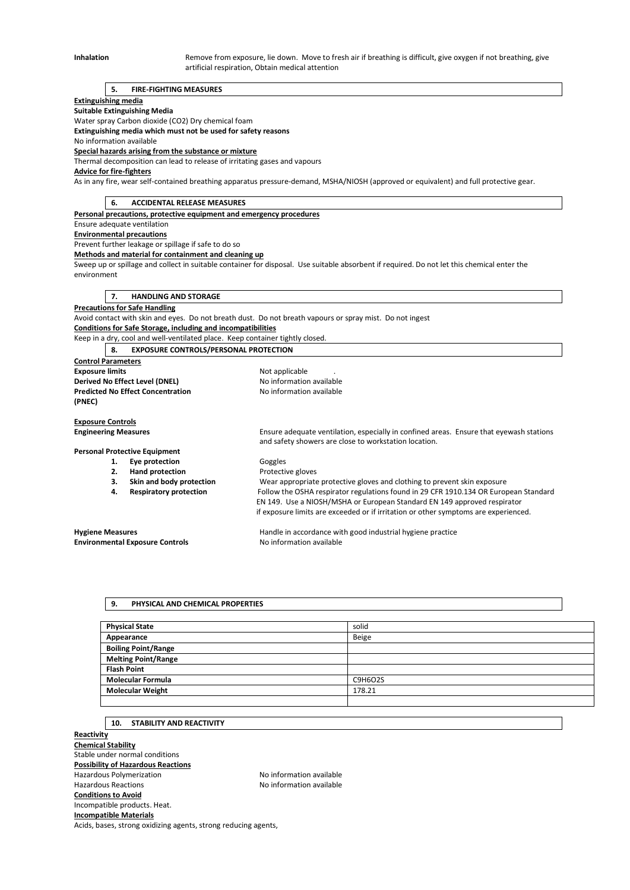Inhalation **Remove from exposure, lie down.** Move to fresh air if breathing is difficult, give oxygen if not breathing, give artificial respiration, Obtain medical attention

### **5. FIRE-FIGHTING MEASURES**

#### **Extinguishing media**

**Suitable Extinguishing Media** 

Water spray Carbon dioxide (CO2) Dry chemical foam

**Extinguishing media which must not be used for safety reasons** 

No information available **Special hazards arising from the substance or mixture** 

Thermal decomposition can lead to release of irritating gases and vapours

**Advice for fire-fighters** 

As in any fire, wear self-contained breathing apparatus pressure-demand, MSHA/NIOSH (approved or equivalent) and full protective gear.

**6. ACCIDENTAL RELEASE MEASURES** 

**Personal precautions, protective equipment and emergency procedures** 

Ensure adequate ventilation

**Environmental precautions** 

Prevent further leakage or spillage if safe to do so

**Methods and material for containment and cleaning up** 

Sweep up or spillage and collect in suitable container for disposal. Use suitable absorbent if required. Do not let this chemical enter the environment

**7. HANDLING AND STORAGE** 

## **Precautions for Safe Handling**

Avoid contact with skin and eyes. Do not breath dust. Do not breath vapours or spray mist. Do not ingest **Conditions for Safe Storage, including and incompatibilities** 

Keep in a dry, cool and well-ventilated place. Keep container tightly closed.

**8. EXPOSURE CONTROLS/PERSONAL PROTECTION** 

**Control Parameters Exposure limits Exposure limits Not applicable** . **Derived No Effect Level (DNEL)** No information available **Predicted No Effect Concentration** No information available **(PNEC)** 

**Exposure Controls** 

**Engineering Measures** Ensure adequate ventilation, especially in confined areas. Ensure that eyewash stations and safety showers are close to workstation location.

# **Personal Protective Equipment**

- 1. **Eye protection Goggles** 
	-

**2. Hand protection Protective gloves**<br> **3. Skin and body protection Wear appropriate 3. Skin and body protection** Wear appropriate protective gloves and clothing to prevent skin exposure **4. Respiratory protection** Follow the OSHA respirator regulations found in 29 CFR 1910.134 OR European Standard EN 149. Use a NIOSH/MSHA or European Standard EN 149 approved respirator if exposure limits are exceeded or if irritation or other symptoms are experienced.

**Environmental Exposure Controls No information available** 

**Hygiene Measures** Handle in accordance with good industrial hygiene practice

#### **9. PHYSICAL AND CHEMICAL PROPERTIES**

| <b>Physical State</b>      | solid   |
|----------------------------|---------|
| Appearance                 | Beige   |
| <b>Boiling Point/Range</b> |         |
| <b>Melting Point/Range</b> |         |
| <b>Flash Point</b>         |         |
| <b>Molecular Formula</b>   | C9H6O2S |
| <b>Molecular Weight</b>    | 178.21  |
|                            |         |

### **10. STABILITY AND REACTIVITY**

**Reactivity Chemical Stability**  Stable under normal conditions **Possibility of Hazardous Reactions**  Hazardous Polymerization Noinformation available Hazardous Reactions **No information available Conditions to Avoid**  Incompatible products. Heat. **Incompatible Materials** 

Acids, bases, strong oxidizing agents, strong reducing agents,